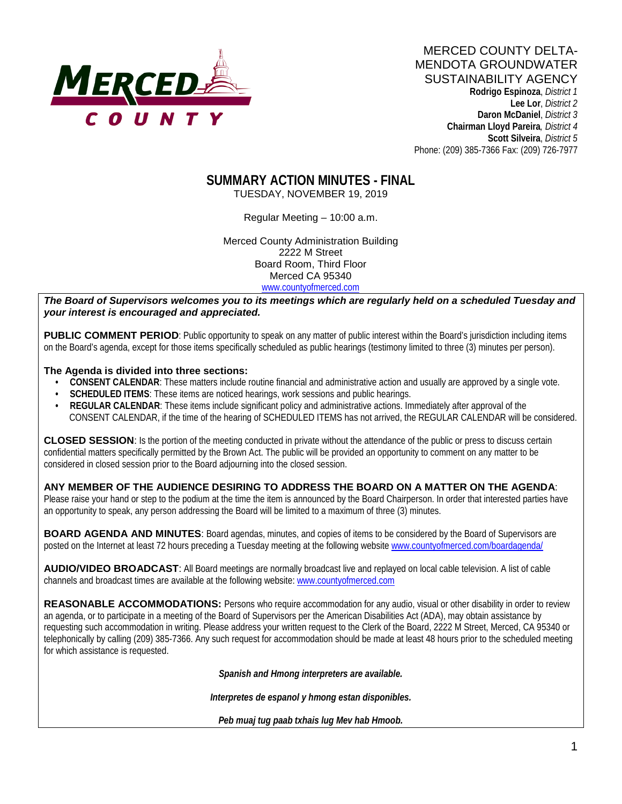

 **Rodrigo Espinoza**, *District 1*  **Lee Lor**, *District 2*  **Daron McDaniel**, *District 3* **Chairman Lloyd Pareira***, District 4*  **Scott Silveira**, *District 5* Phone: (209) 385-7366 Fax: (209) 726-7977

# **SUMMARY ACTION MINUTES - FINAL**

TUESDAY, NOVEMBER 19, 2019

Regular Meeting – 10:00 a.m.

Merced County Administration Building 2222 M Street Board Room, Third Floor Merced CA 95340 www.countyofmerced.com

*The Board of Supervisors welcomes you to its meetings which are regularly held on a scheduled Tuesday and your interest is encouraged and appreciated.*

**PUBLIC COMMENT PERIOD**: Public opportunity to speak on any matter of public interest within the Board's jurisdiction including items on the Board's agenda, except for those items specifically scheduled as public hearings (testimony limited to three (3) minutes per person).

#### **The Agenda is divided into three sections:**

- **CONSENT CALENDAR**: These matters include routine financial and administrative action and usually are approved by a single vote.
- **SCHEDULED ITEMS:** These items are noticed hearings, work sessions and public hearings.
- **REGULAR CALENDAR**: These items include significant policy and administrative actions. Immediately after approval of the CONSENT CALENDAR, if the time of the hearing of SCHEDULED ITEMS has not arrived, the REGULAR CALENDAR will be considered.

**CLOSED SESSION**: Is the portion of the meeting conducted in private without the attendance of the public or press to discuss certain confidential matters specifically permitted by the Brown Act. The public will be provided an opportunity to comment on any matter to be considered in closed session prior to the Board adjourning into the closed session.

**ANY MEMBER OF THE AUDIENCE DESIRING TO ADDRESS THE BOARD ON A MATTER ON THE AGENDA**: Please raise your hand or step to the podium at the time the item is announced by the Board Chairperson. In order that interested parties have an opportunity to speak, any person addressing the Board will be limited to a maximum of three (3) minutes.

**BOARD AGENDA AND MINUTES:** Board agendas, minutes, and copies of items to be considered by the Board of Supervisors are posted on the Internet at least 72 hours preceding a Tuesday meeting at the following website [www.countyofmerced.com/boardagenda/](http://www.countyofmerced.com/boardagenda/) 

**AUDIO/VIDEO BROADCAST**: All Board meetings are normally broadcast live and replayed on local cable television. A list of cable channels and broadcast times are available at the following website[: www.countyofmerced.com](http://www.countyofmerced.com/)

**REASONABLE ACCOMMODATIONS:** Persons who require accommodation for any audio, visual or other disability in order to review an agenda, or to participate in a meeting of the Board of Supervisors per the American Disabilities Act (ADA), may obtain assistance by requesting such accommodation in writing. Please address your written request to the Clerk of the Board, 2222 M Street, Merced, CA 95340 or telephonically by calling (209) 385-7366. Any such request for accommodation should be made at least 48 hours prior to the scheduled meeting for which assistance is requested.

*Spanish and Hmong interpreters are available.*

*Interpretes de espanol y hmong estan disponibles.*

*Peb muaj tug paab txhais lug Mev hab Hmoob.*